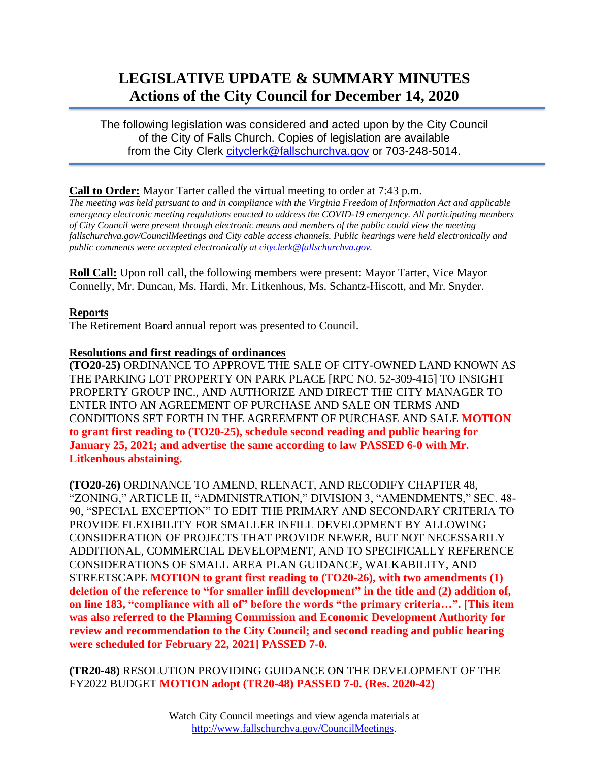# **LEGISLATIVE UPDATE & SUMMARY MINUTES Actions of the City Council for December 14, 2020**

The following legislation was considered and acted upon by the City Council of the City of Falls Church. Copies of legislation are available from the City Clerk [cityclerk@fallschurchva.gov](mailto:cityclerk@fallschurchva.gov) or 703-248-5014.

### **Call to Order:** Mayor Tarter called the virtual meeting to order at 7:43 p.m.

*The meeting was held pursuant to and in compliance with the Virginia Freedom of Information Act and applicable emergency electronic meeting regulations enacted to address the COVID-19 emergency. All participating members of City Council were present through electronic means and members of the public could view the meeting fallschurchva.gov/CouncilMeetings and City cable access channels. Public hearings were held electronically and public comments were accepted electronically a[t cityclerk@fallschurchva.gov.](mailto:cityclerk@fallschurchva.gov)*

**Roll Call:** Upon roll call, the following members were present: Mayor Tarter, Vice Mayor Connelly, Mr. Duncan, Ms. Hardi, Mr. Litkenhous, Ms. Schantz-Hiscott, and Mr. Snyder.

### **Reports**

The Retirement Board annual report was presented to Council.

### **Resolutions and first readings of ordinances**

**(TO20-25)** ORDINANCE TO APPROVE THE SALE OF CITY-OWNED LAND KNOWN AS THE PARKING LOT PROPERTY ON PARK PLACE [RPC NO. 52-309-415] TO INSIGHT PROPERTY GROUP INC., AND AUTHORIZE AND DIRECT THE CITY MANAGER TO ENTER INTO AN AGREEMENT OF PURCHASE AND SALE ON TERMS AND CONDITIONS SET FORTH IN THE AGREEMENT OF PURCHASE AND SALE **MOTION to grant first reading to (TO20-25), schedule second reading and public hearing for January 25, 2021; and advertise the same according to law PASSED 6-0 with Mr. Litkenhous abstaining.**

**(TO20-26)** ORDINANCE TO AMEND, REENACT, AND RECODIFY CHAPTER 48, "ZONING," ARTICLE II, "ADMINISTRATION," DIVISION 3, "AMENDMENTS," SEC. 48- 90, "SPECIAL EXCEPTION" TO EDIT THE PRIMARY AND SECONDARY CRITERIA TO PROVIDE FLEXIBILITY FOR SMALLER INFILL DEVELOPMENT BY ALLOWING CONSIDERATION OF PROJECTS THAT PROVIDE NEWER, BUT NOT NECESSARILY ADDITIONAL, COMMERCIAL DEVELOPMENT, AND TO SPECIFICALLY REFERENCE CONSIDERATIONS OF SMALL AREA PLAN GUIDANCE, WALKABILITY, AND STREETSCAPE **MOTION to grant first reading to (TO20-26), with two amendments (1) deletion of the reference to "for smaller infill development" in the title and (2) addition of, on line 183, "compliance with all of" before the words "the primary criteria…". [This item was also referred to the Planning Commission and Economic Development Authority for review and recommendation to the City Council; and second reading and public hearing were scheduled for February 22, 2021] PASSED 7-0.**

**(TR20-48)** RESOLUTION PROVIDING GUIDANCE ON THE DEVELOPMENT OF THE FY2022 BUDGET **MOTION adopt (TR20-48) PASSED 7-0. (Res. 2020-42)**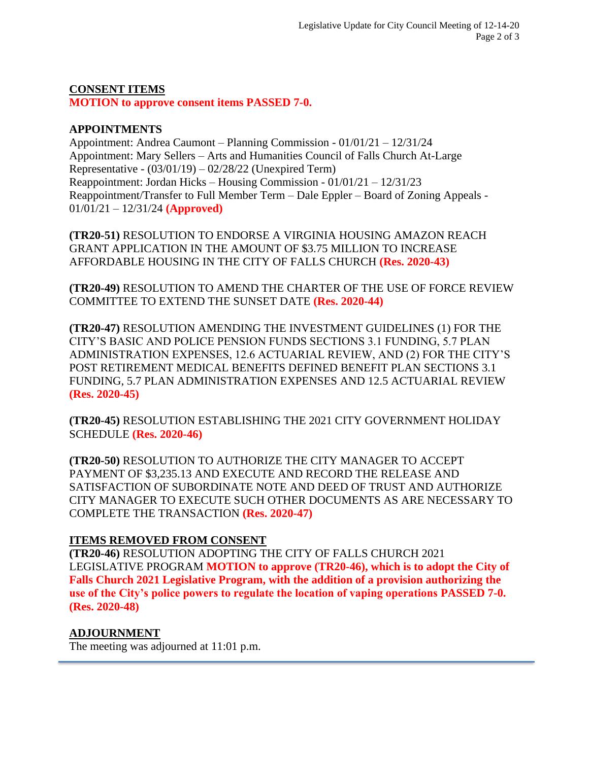# **CONSENT ITEMS**

**MOTION to approve consent items PASSED 7-0.**

### **APPOINTMENTS**

Appointment: Andrea Caumont – Planning Commission - 01/01/21 – 12/31/24 Appointment: Mary Sellers – Arts and Humanities Council of Falls Church At-Large Representative - (03/01/19) – 02/28/22 (Unexpired Term) Reappointment: Jordan Hicks – Housing Commission - 01/01/21 – 12/31/23 Reappointment/Transfer to Full Member Term – Dale Eppler – Board of Zoning Appeals - 01/01/21 – 12/31/24 **(Approved)**

**(TR20-51)** RESOLUTION TO ENDORSE A VIRGINIA HOUSING AMAZON REACH GRANT APPLICATION IN THE AMOUNT OF \$3.75 MILLION TO INCREASE AFFORDABLE HOUSING IN THE CITY OF FALLS CHURCH **(Res. 2020-43)**

**(TR20-49)** RESOLUTION TO AMEND THE CHARTER OF THE USE OF FORCE REVIEW COMMITTEE TO EXTEND THE SUNSET DATE **(Res. 2020-44)**

**(TR20-47)** RESOLUTION AMENDING THE INVESTMENT GUIDELINES (1) FOR THE CITY'S BASIC AND POLICE PENSION FUNDS SECTIONS 3.1 FUNDING, 5.7 PLAN ADMINISTRATION EXPENSES, 12.6 ACTUARIAL REVIEW, AND (2) FOR THE CITY'S POST RETIREMENT MEDICAL BENEFITS DEFINED BENEFIT PLAN SECTIONS 3.1 FUNDING, 5.7 PLAN ADMINISTRATION EXPENSES AND 12.5 ACTUARIAL REVIEW **(Res. 2020-45)**

**(TR20-45)** RESOLUTION ESTABLISHING THE 2021 CITY GOVERNMENT HOLIDAY SCHEDULE **(Res. 2020-46)**

**(TR20-50)** RESOLUTION TO AUTHORIZE THE CITY MANAGER TO ACCEPT PAYMENT OF \$3,235.13 AND EXECUTE AND RECORD THE RELEASE AND SATISFACTION OF SUBORDINATE NOTE AND DEED OF TRUST AND AUTHORIZE CITY MANAGER TO EXECUTE SUCH OTHER DOCUMENTS AS ARE NECESSARY TO COMPLETE THE TRANSACTION **(Res. 2020-47)**

# **ITEMS REMOVED FROM CONSENT**

**(TR20-46)** RESOLUTION ADOPTING THE CITY OF FALLS CHURCH 2021 LEGISLATIVE PROGRAM **MOTION to approve (TR20-46), which is to adopt the City of Falls Church 2021 Legislative Program, with the addition of a provision authorizing the use of the City's police powers to regulate the location of vaping operations PASSED 7-0. (Res. 2020-48)**

# **ADJOURNMENT**

The meeting was adjourned at 11:01 p.m.